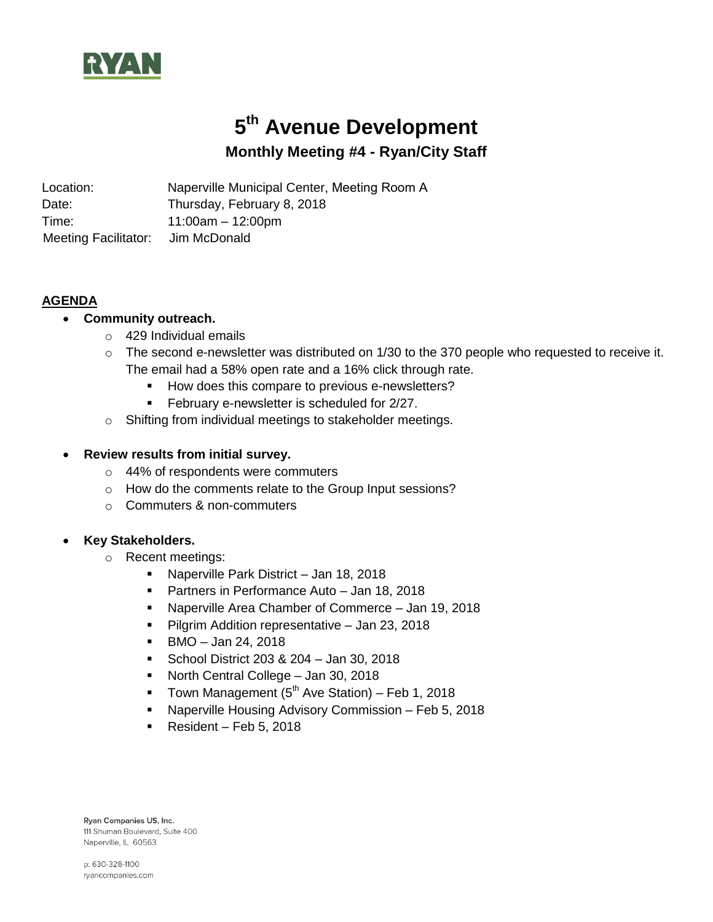

# **5 th Avenue Development**

# **Monthly Meeting #4 - Ryan/City Staff**

Location: Naperville Municipal Center, Meeting Room A Date: Time: Thursday, February 8, 2018 11:00am – 12:00pm Meeting Facilitator: Jim McDonald

#### **AGENDA**

## **Community outreach.**

- o 429 Individual emails
- $\circ$  The second e-newsletter was distributed on 1/30 to the 370 people who requested to receive it. The email had a 58% open rate and a 16% click through rate.
	- How does this compare to previous e-newsletters?
	- **February e-newsletter is scheduled for 2/27.**
- o Shifting from individual meetings to stakeholder meetings.

## **Review results from initial survey.**

- o 44% of respondents were commuters
- o How do the comments relate to the Group Input sessions?
- o Commuters & non-commuters

#### **Key Stakeholders.**

- o Recent meetings:
	- Naperville Park District Jan 18, 2018
	- **Partners in Performance Auto Jan 18, 2018**
	- Naperville Area Chamber of Commerce Jan 19, 2018
	- **Pilgrim Addition representative Jan 23, 2018**
	- $\blacksquare$  BMO Jan 24, 2018
	- **School District 203 & 204 Jan 30, 2018**
	- North Central College Jan 30, 2018
	- Town Management  $(5<sup>th</sup>$  Ave Station) Feb 1, 2018
	- Naperville Housing Advisory Commission Feb 5, 2018
	- Resident Feb 5, 2018

Ryan Companies US, Inc. 111 Shuman Boulevard, Suite 400 Naperville, IL 60563